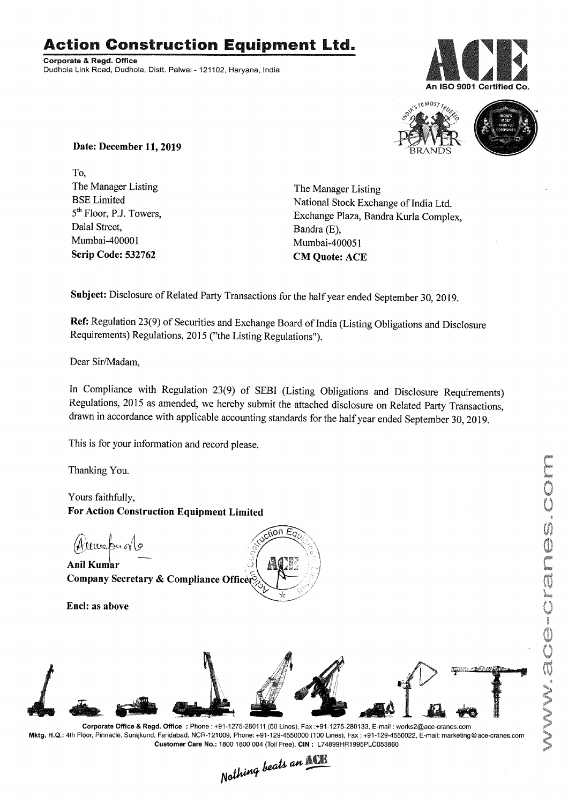# Action Construction Equipment Ltd..

Corporate& Regd.Office Dudhola Link Road, Dudhola, Distt. Palwal- 121102, Haryana, India



MUSC-Cranes.com



Date: December 11, 2019

To, The Manager Listing BSE Limited 5<sup>th</sup> Floor, P.J. Towers, Dalal Street, Mumbai-40000 1 Scrip Code: 532762

The Manager Listing National Stock Exchange of India Ltd. Exchange Plaza, Bandra Kurla Complex, Bandra (E), Mumbai-400051 CM Quote: ACE

Subject: Disclosure of Related Party Transactions for the half year ended September 30, 2019.

Ref: Regulation 23(9) of Securities and Exchange Board of India (Listing Obligations and Disclosure Requirements) Regulations, 2015 ("the Listing Regulations").

Dear Sir/Madam.

In Compliance with Regulation 23(9) of SEBI (Listing Obligations and Disclosure Requirements) Regulations, 2015 as amended, we hereby submit the attached disclosure on Related Party Transactions, drawn in accordance with applicable accounting standards for the half year ended September 30,2019.

This is for your information and record please.

Thanking You.

Yours faithfully, For Action Construction Equipment Limited

(Humoprov

Anil Kumar  $\leq$   $\mathbb{R}$   $\leq$   $\leq$   $\geq$ Company Secretary & Compliance Officer

Encl: as above



 $\sim$ 

 $\overline{\mathfrak{so}}$ n E $\overline{\mathfrak{o}}$ 

,)j *<sup>j</sup>*

Corporate Office & Regd. Office: Phone: +91-1275-280111(50 Lines), Fax:+91-1275-280133, E-mail: works2@ace:cranes.com Mktg. H.Q.: 4th Floor, Pinnacle, Surajkund, Faridabad, NCR-121009, Phone: +91-129-4550000 (100 Lines), Fax: +91-129-4550022, E-mail: marketlng@ace-cranes.com

Customer Care No.: 1800 1800 004 (Toll Free), CIN: L74899HR1995PLC053860<br>Nathing beats an **New York**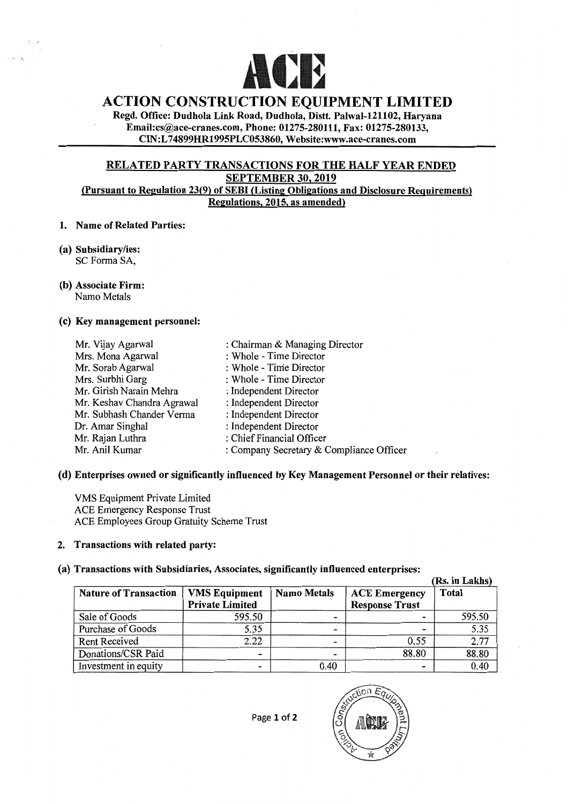

# **ACTION CONSTRUCTION EQUIPMENT LIMITED**

Regd. Office: Dudhola Link Road, Dudhola, Distt. Palwal-121102, Haryana Email:cs@ace-cranes.com, Phone: 01275-280111, Fax: 01275-280133, CIN:L 74899HR1995PLC053860, Website:www.ace-cranes.com

# RELATED PARTY TRANSACTIONS FOR THE HALF YEAR ENDED SEPTEMBER 30, 2019 (Pursuant to Regnlation 23(9) of SEBI (Listing Obligations and Disclosure Requirements)

Regulations, 2015. as amended)

#### 1. Name of Related Parties:

(a) Subsidiary/ies: SC Forma SA,

 $\mathbb{R}^n$ 

(b) Associate Firm: Namo Metals

#### (c) Key management personnel:

| Mr. Vijay Agarwal          | : Chairman & Managing Director           |
|----------------------------|------------------------------------------|
| Mrs. Mona Agarwal          | : Whole - Time Director                  |
| Mr. Sorab Agarwal          | : Whole - Time Director                  |
| Mrs. Surbhi Garg           | : Whole - Time Director                  |
| Mr. Girish Narain Mehra    | : Independent Director                   |
| Mr. Keshav Chandra Agrawal | : Independent Director                   |
| Mr. Subhash Chander Verma  | : Independent Director                   |
| Dr. Amar Singhal           | : Independent Director                   |
| Mr. Rajan Luthra           | : Chief Financial Officer                |
| Mr. Anil Kumar             | : Company Secretary & Compliance Officer |
|                            |                                          |

## (d) Enterprises owned or significantly influenced by Key Management Personnel or their relatives:

VMS Equipment Private Limited ACE Emergency Response Trust ACE Employees Group Gratuity Scheme Trust

#### 2. Transactions with related party:

## (a) Transactions with Subsidiaries, Associates, significantly influenced enterprises:

|                              |                                                |                    |                                               | (Rs. in Lakhs) |
|------------------------------|------------------------------------------------|--------------------|-----------------------------------------------|----------------|
| <b>Nature of Transaction</b> | <b>VMS</b> Equipment<br><b>Private Limited</b> | <b>Namo Metals</b> | <b>ACE Emergency</b><br><b>Response Trust</b> | <b>Total</b>   |
| Sale of Goods                | 595.50                                         | -                  |                                               | 595.50         |
| Purchase of Goods            | 5.35                                           | -                  |                                               | 5.35           |
| <b>Rent Received</b>         | 2.22                                           | $\blacksquare$     | 0.55                                          | 2.77           |
| Donations/CSR Paid           | -                                              | -                  | 88.80                                         | 88.80          |
| Investment in equity         |                                                | 0.40               |                                               | 0.40           |